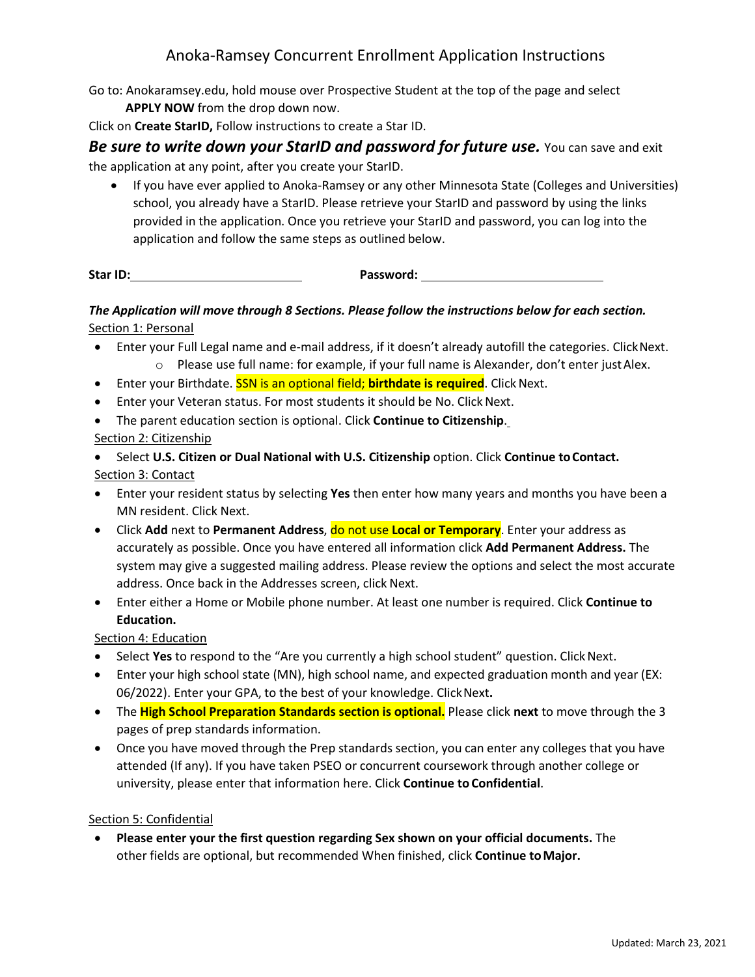## Anoka-Ramsey Concurrent Enrollment Application Instructions

Go to: Anokaramsey.edu, hold mouse over Prospective Student at the top of the page and select **APPLY NOW** from the drop down now.

Click on **Create StarID,** Follow instructions to create a Star ID.

*Be sure to write down your StarID and password for future use.* **You can save and exit** the application at any point, after you create your StarID.

• If you have ever applied to Anoka-Ramsey or any other Minnesota State (Colleges and Universities) school, you already have a StarID. Please retrieve your StarID and password by using the links provided in the application. Once you retrieve your StarID and password, you can log into the application and follow the same steps as outlined below.

**Star ID: Password:**

### *The Application will move through 8 Sections. Please follow the instructions below for each section.* Section 1: Personal

- Enter your Full Legal name and e-mail address, if it doesn't already autofill the categories. ClickNext. o Please use full name: for example, if your full name is Alexander, don't enter justAlex.
- **•** Enter your Birthdate. SSN is an optional field; **birthdate is required**. Click Next.
- Enter your Veteran status. For most students it should be No. Click Next.
- The parent education section is optional. Click **Continue to Citizenship**. Section 2: Citizenship

# • Select **U.S. Citizen or Dual National with U.S. Citizenship** option. Click **Continue toContact.** Section 3: Contact

- Enter your resident status by selecting **Yes** then enter how many years and months you have been a MN resident. Click Next.
- Click **Add** next to **Permanent Address**, do not use **Local or Temporary**. Enter your address as accurately as possible. Once you have entered all information click **Add Permanent Address.** The system may give a suggested mailing address. Please review the options and select the most accurate address. Once back in the Addresses screen, click Next.
- Enter either a Home or Mobile phone number. At least one number is required. Click **Continue to Education.**

#### Section 4: Education

- Select Yes to respond to the "Are you currently a high school student" question. Click Next.
- Enter your high school state (MN), high school name, and expected graduation month and year (EX: 06/2022). Enter your GPA, to the best of your knowledge. ClickNext**.**
- The **High School Preparation Standards section is optional.** Please click **next** to move through the 3 pages of prep standards information.
- Once you have moved through the Prep standards section, you can enter any colleges that you have attended (If any). If you have taken PSEO or concurrent coursework through another college or university, please enter that information here. Click **Continue to Confidential**.

#### Section 5: Confidential

• **Please enter your the first question regarding Sex shown on your official documents.** The other fields are optional, but recommended When finished, click **Continue toMajor.**